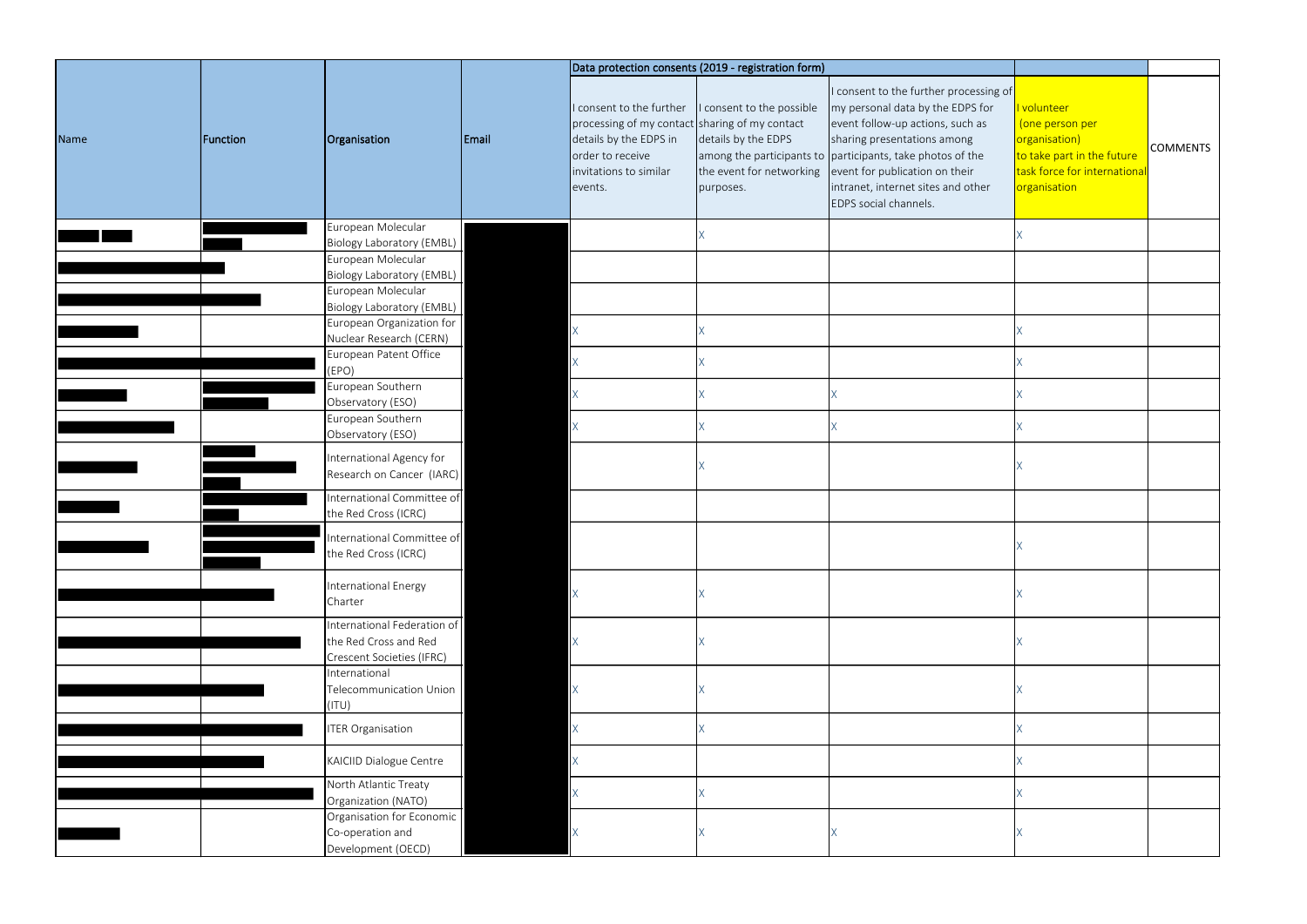|      |          |                                                                                   |       |                                                                                                                                                               | Data protection consents (2019 - registration form)                                       |                                                                                                                                                                                                                                                                                                              |                                                                                                                              |                 |
|------|----------|-----------------------------------------------------------------------------------|-------|---------------------------------------------------------------------------------------------------------------------------------------------------------------|-------------------------------------------------------------------------------------------|--------------------------------------------------------------------------------------------------------------------------------------------------------------------------------------------------------------------------------------------------------------------------------------------------------------|------------------------------------------------------------------------------------------------------------------------------|-----------------|
| Name | Function | Organisation                                                                      | Email | I consent to the further<br>processing of my contact sharing of my contact<br>details by the EDPS in<br>order to receive<br>invitations to similar<br>events. | I consent to the possible<br>details by the EDPS<br>the event for networking<br>purposes. | I consent to the further processing of<br>my personal data by the EDPS for<br>event follow-up actions, such as<br>sharing presentations among<br>among the participants to participants, take photos of the<br>event for publication on their<br>intranet, internet sites and other<br>EDPS social channels. | I volunteer<br>(one person per<br>organisation)<br>to take part in the future<br>task force for internationa<br>organisation | <b>COMMENTS</b> |
|      |          | European Molecular                                                                |       |                                                                                                                                                               |                                                                                           |                                                                                                                                                                                                                                                                                                              |                                                                                                                              |                 |
|      |          | Biology Laboratory (EMBL)                                                         |       |                                                                                                                                                               |                                                                                           |                                                                                                                                                                                                                                                                                                              |                                                                                                                              |                 |
|      |          | European Molecular                                                                |       |                                                                                                                                                               |                                                                                           |                                                                                                                                                                                                                                                                                                              |                                                                                                                              |                 |
|      |          | Biology Laboratory (EMBL)<br>European Molecular                                   |       |                                                                                                                                                               |                                                                                           |                                                                                                                                                                                                                                                                                                              |                                                                                                                              |                 |
|      |          | Biology Laboratory (EMBL)                                                         |       |                                                                                                                                                               |                                                                                           |                                                                                                                                                                                                                                                                                                              |                                                                                                                              |                 |
|      |          | European Organization for                                                         |       |                                                                                                                                                               |                                                                                           |                                                                                                                                                                                                                                                                                                              |                                                                                                                              |                 |
|      |          | Nuclear Research (CERN)                                                           |       | $\mathsf{X}^-$                                                                                                                                                |                                                                                           |                                                                                                                                                                                                                                                                                                              |                                                                                                                              |                 |
|      |          | European Patent Office                                                            |       | $\mathsf{X}^-$                                                                                                                                                |                                                                                           |                                                                                                                                                                                                                                                                                                              |                                                                                                                              |                 |
|      |          | (EPO)<br>European Southern                                                        |       |                                                                                                                                                               |                                                                                           |                                                                                                                                                                                                                                                                                                              |                                                                                                                              |                 |
|      |          | Observatory (ESO)                                                                 |       | $\mathsf{X}^-$                                                                                                                                                |                                                                                           |                                                                                                                                                                                                                                                                                                              |                                                                                                                              |                 |
|      |          | European Southern                                                                 |       |                                                                                                                                                               |                                                                                           |                                                                                                                                                                                                                                                                                                              |                                                                                                                              |                 |
|      |          | Observatory (ESO)                                                                 |       | X                                                                                                                                                             |                                                                                           |                                                                                                                                                                                                                                                                                                              |                                                                                                                              |                 |
|      |          | International Agency for<br>Research on Cancer (IARC)                             |       |                                                                                                                                                               |                                                                                           |                                                                                                                                                                                                                                                                                                              |                                                                                                                              |                 |
|      |          | International Committee of<br>the Red Cross (ICRC)                                |       |                                                                                                                                                               |                                                                                           |                                                                                                                                                                                                                                                                                                              |                                                                                                                              |                 |
|      |          | International Committee of<br>the Red Cross (ICRC)                                |       |                                                                                                                                                               |                                                                                           |                                                                                                                                                                                                                                                                                                              |                                                                                                                              |                 |
|      |          | International Energy<br>Charter                                                   |       | $\mathsf{X}^-$                                                                                                                                                |                                                                                           |                                                                                                                                                                                                                                                                                                              |                                                                                                                              |                 |
|      |          | International Federation of<br>the Red Cross and Red<br>Crescent Societies (IFRC) |       | $\mathsf{X}^-$                                                                                                                                                |                                                                                           |                                                                                                                                                                                                                                                                                                              |                                                                                                                              |                 |
|      |          | International<br>Telecommunication Union<br>(ITU)                                 |       | $\mathsf{X}$                                                                                                                                                  |                                                                                           |                                                                                                                                                                                                                                                                                                              |                                                                                                                              |                 |
|      |          | <b>ITER Organisation</b>                                                          |       | $\mathsf{X}^-$                                                                                                                                                |                                                                                           |                                                                                                                                                                                                                                                                                                              |                                                                                                                              |                 |
|      |          | KAICIID Dialogue Centre                                                           |       | $\mathsf{X}^-$                                                                                                                                                |                                                                                           |                                                                                                                                                                                                                                                                                                              |                                                                                                                              |                 |
|      |          | North Atlantic Treaty                                                             |       | $\mathsf{X}^{\scriptscriptstyle\mathsf{C}}$                                                                                                                   |                                                                                           |                                                                                                                                                                                                                                                                                                              |                                                                                                                              |                 |
|      |          | Organization (NATO)                                                               |       |                                                                                                                                                               |                                                                                           |                                                                                                                                                                                                                                                                                                              |                                                                                                                              |                 |
|      |          | Organisation for Economic<br>Co-operation and<br>Development (OECD)               |       | $\mathsf{X}$                                                                                                                                                  |                                                                                           |                                                                                                                                                                                                                                                                                                              |                                                                                                                              |                 |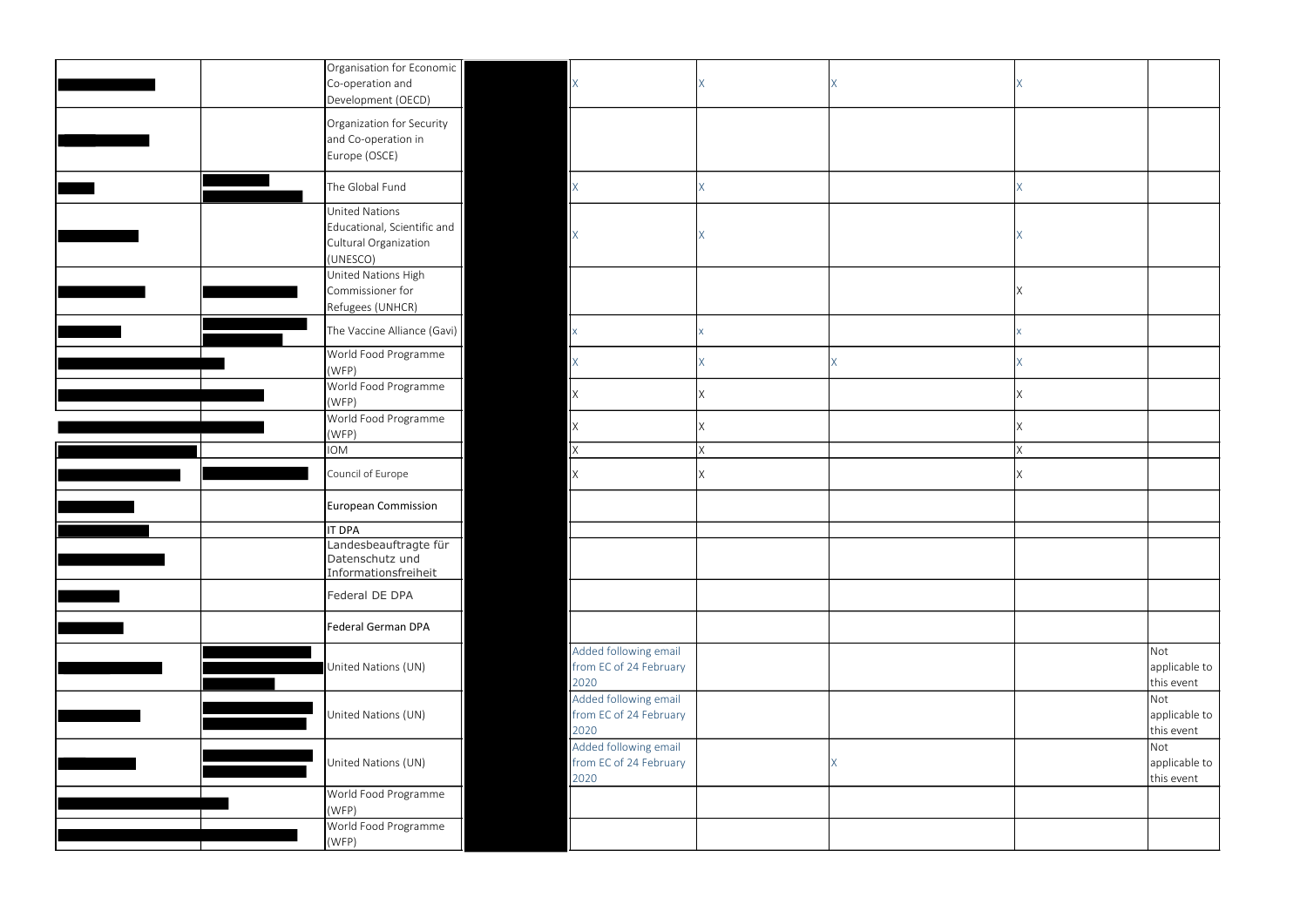| Organisation for Economic<br>Co-operation and<br>Development (OECD)                |                                                         |              |   |    |                                    |
|------------------------------------------------------------------------------------|---------------------------------------------------------|--------------|---|----|------------------------------------|
| Organization for Security<br>and Co-operation in<br>Europe (OSCE)                  |                                                         |              |   |    |                                    |
| The Global Fund                                                                    | <b>X</b>                                                | $\times$     |   | X  |                                    |
| United Nations<br>Educational, Scientific and<br>Cultural Organization<br>(UNESCO) |                                                         |              |   |    |                                    |
| United Nations High<br>Commissioner for<br>Refugees (UNHCR)                        |                                                         |              |   | ΙX |                                    |
| The Vaccine Alliance (Gavi)                                                        | X                                                       | X            |   |    |                                    |
| World Food Programme<br>(WFP)                                                      | $\sf X$                                                 | $\mathsf{X}$ | Χ | X  |                                    |
| World Food Programme<br>(WFP)                                                      |                                                         | X            |   | X  |                                    |
| World Food Programme<br>(WFP)                                                      | IX.                                                     | IX.          |   | X  |                                    |
| <b>IOM</b>                                                                         | <b>X</b>                                                | IX.          |   | X  |                                    |
| Council of Europe                                                                  |                                                         | X            |   | X  |                                    |
| European Commission                                                                |                                                         |              |   |    |                                    |
| <b>IT DPA</b>                                                                      |                                                         |              |   |    |                                    |
| Landesbeauftragte für<br>Datenschutz und<br>Informationsfreiheit                   |                                                         |              |   |    |                                    |
| Federal DE DPA                                                                     |                                                         |              |   |    |                                    |
| Federal German DPA                                                                 |                                                         |              |   |    |                                    |
| United Nations (UN)                                                                | Added following email<br>from EC of 24 February<br>2020 |              |   |    | Not<br>applicable to<br>this event |
| United Nations (UN)                                                                | Added following email<br>from EC of 24 February<br>2020 |              |   |    | Not<br>applicable to<br>this event |
| United Nations (UN)                                                                | Added following email<br>from EC of 24 February<br>2020 |              |   |    | Not<br>applicable to<br>this event |
| World Food Programme<br>(WFP)                                                      |                                                         |              |   |    |                                    |
| World Food Programme                                                               |                                                         |              |   |    |                                    |
| (WFP)                                                                              |                                                         |              |   |    |                                    |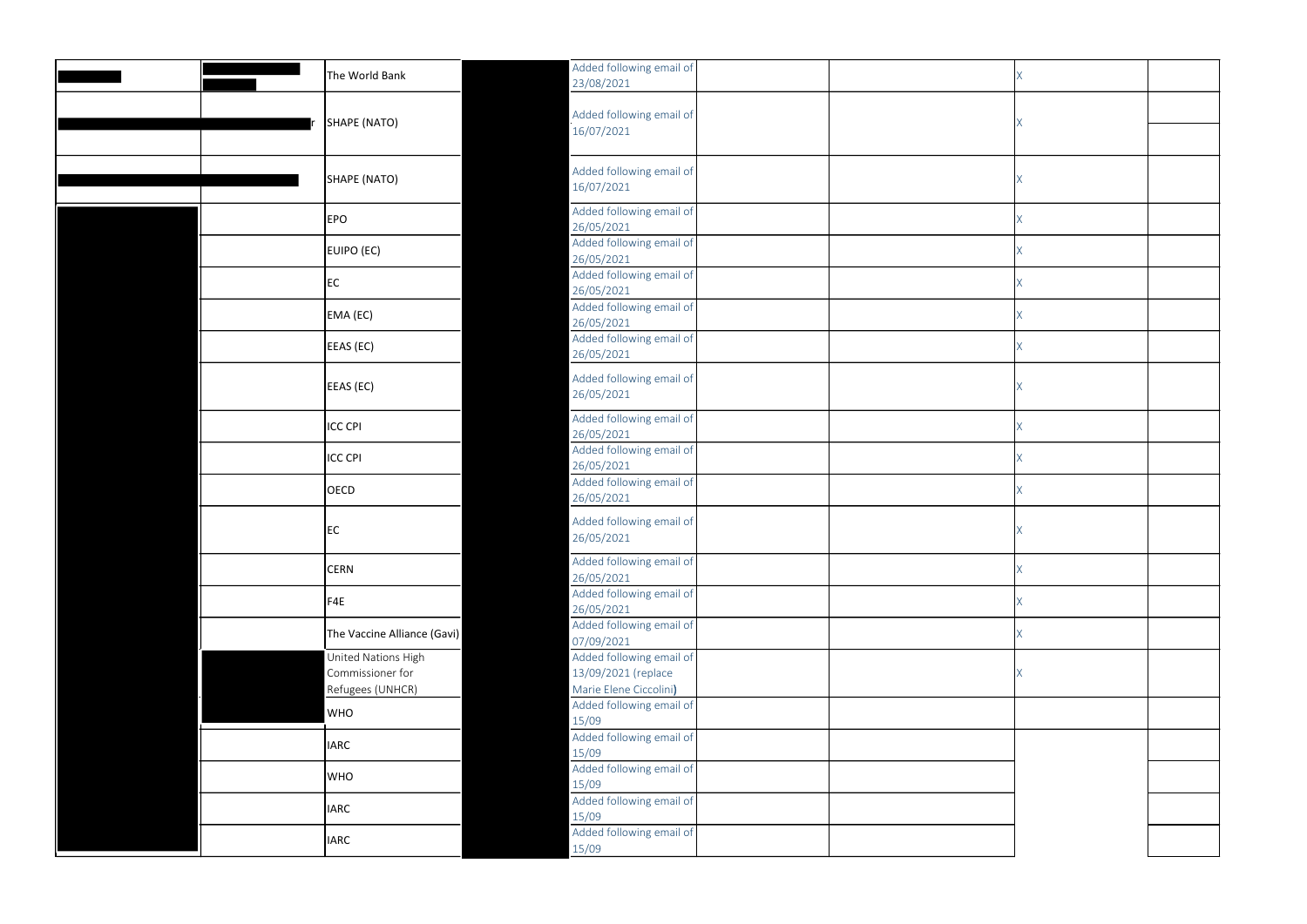|  | The World Bank                                              | Added following email of<br>23/08/2021                                    |  |    |  |
|--|-------------------------------------------------------------|---------------------------------------------------------------------------|--|----|--|
|  |                                                             | Added following email of                                                  |  |    |  |
|  | SHAPE (NATO)                                                | 16/07/2021                                                                |  | X. |  |
|  |                                                             |                                                                           |  |    |  |
|  | SHAPE (NATO)                                                | Added following email of<br>16/07/2021                                    |  |    |  |
|  | <b>EPO</b>                                                  | Added following email of                                                  |  |    |  |
|  |                                                             | 26/05/2021<br>Added following email of                                    |  |    |  |
|  | EUIPO (EC)                                                  | 26/05/2021                                                                |  |    |  |
|  | EC                                                          | Added following email of<br>26/05/2021                                    |  | X  |  |
|  | EMA (EC)                                                    | Added following email of                                                  |  | Χ  |  |
|  |                                                             | 26/05/2021<br>Added following email of                                    |  | X  |  |
|  | EEAS (EC)                                                   | 26/05/2021                                                                |  |    |  |
|  | EEAS (EC)                                                   | Added following email of<br>26/05/2021                                    |  | X  |  |
|  | <b>ICC CPI</b>                                              | Added following email of<br>26/05/2021                                    |  | X. |  |
|  | <b>ICC CPI</b>                                              | Added following email of<br>26/05/2021                                    |  |    |  |
|  | <b>OECD</b>                                                 | Added following email of<br>26/05/2021                                    |  |    |  |
|  | EC                                                          | Added following email of<br>26/05/2021                                    |  |    |  |
|  | <b>CERN</b>                                                 | Added following email of<br>26/05/2021                                    |  |    |  |
|  | F4E                                                         | Added following email of<br>26/05/2021                                    |  |    |  |
|  | The Vaccine Alliance (Gavi)                                 | Added following email of<br>07/09/2021                                    |  | X  |  |
|  | United Nations High<br>Commissioner for<br>Refugees (UNHCR) | Added following email of<br>13/09/2021 (replace<br>Marie Elene Ciccolini) |  | X  |  |
|  | <b>WHO</b>                                                  | Added following email of<br>15/09                                         |  |    |  |
|  | <b>IARC</b>                                                 | Added following email of<br>15/09                                         |  |    |  |
|  | <b>WHO</b>                                                  | Added following email of<br>15/09                                         |  |    |  |
|  | <b>IARC</b>                                                 | Added following email of<br>15/09                                         |  |    |  |
|  | <b>IARC</b>                                                 | Added following email of<br>15/09                                         |  |    |  |